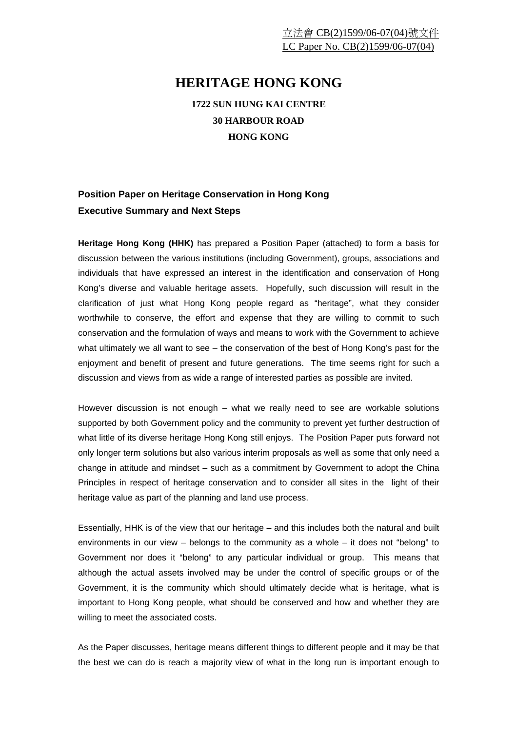## **HERITAGE HONG KONG**

**1722 SUN HUNG KAI CENTRE 30 HARBOUR ROAD HONG KONG** 

## **Position Paper on Heritage Conservation in Hong Kong Executive Summary and Next Steps**

**Heritage Hong Kong (HHK)** has prepared a Position Paper (attached) to form a basis for discussion between the various institutions (including Government), groups, associations and individuals that have expressed an interest in the identification and conservation of Hong Kong's diverse and valuable heritage assets. Hopefully, such discussion will result in the clarification of just what Hong Kong people regard as "heritage", what they consider worthwhile to conserve, the effort and expense that they are willing to commit to such conservation and the formulation of ways and means to work with the Government to achieve what ultimately we all want to see – the conservation of the best of Hong Kong's past for the enjoyment and benefit of present and future generations. The time seems right for such a discussion and views from as wide a range of interested parties as possible are invited.

However discussion is not enough – what we really need to see are workable solutions supported by both Government policy and the community to prevent yet further destruction of what little of its diverse heritage Hong Kong still enjoys. The Position Paper puts forward not only longer term solutions but also various interim proposals as well as some that only need a change in attitude and mindset – such as a commitment by Government to adopt the China Principles in respect of heritage conservation and to consider all sites in the light of their heritage value as part of the planning and land use process.

Essentially, HHK is of the view that our heritage – and this includes both the natural and built environments in our view – belongs to the community as a whole – it does not "belong" to Government nor does it "belong" to any particular individual or group. This means that although the actual assets involved may be under the control of specific groups or of the Government, it is the community which should ultimately decide what is heritage, what is important to Hong Kong people, what should be conserved and how and whether they are willing to meet the associated costs.

As the Paper discusses, heritage means different things to different people and it may be that the best we can do is reach a majority view of what in the long run is important enough to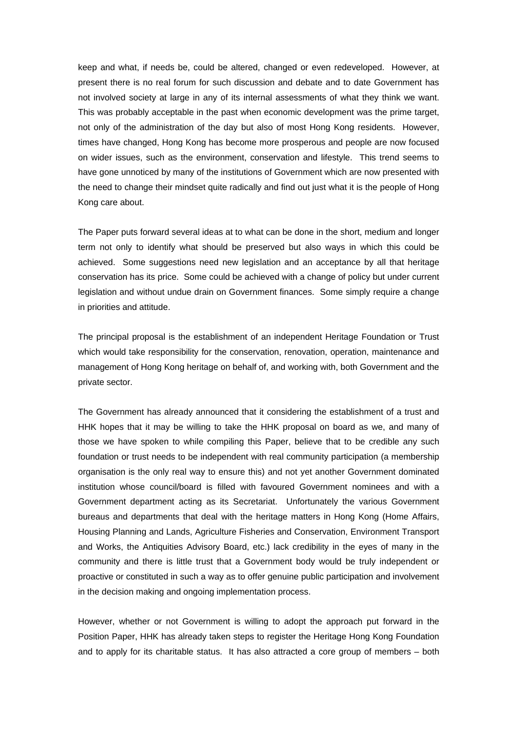keep and what, if needs be, could be altered, changed or even redeveloped. However, at present there is no real forum for such discussion and debate and to date Government has not involved society at large in any of its internal assessments of what they think we want. This was probably acceptable in the past when economic development was the prime target, not only of the administration of the day but also of most Hong Kong residents. However, times have changed, Hong Kong has become more prosperous and people are now focused on wider issues, such as the environment, conservation and lifestyle. This trend seems to have gone unnoticed by many of the institutions of Government which are now presented with the need to change their mindset quite radically and find out just what it is the people of Hong Kong care about.

The Paper puts forward several ideas at to what can be done in the short, medium and longer term not only to identify what should be preserved but also ways in which this could be achieved. Some suggestions need new legislation and an acceptance by all that heritage conservation has its price. Some could be achieved with a change of policy but under current legislation and without undue drain on Government finances. Some simply require a change in priorities and attitude.

The principal proposal is the establishment of an independent Heritage Foundation or Trust which would take responsibility for the conservation, renovation, operation, maintenance and management of Hong Kong heritage on behalf of, and working with, both Government and the private sector.

The Government has already announced that it considering the establishment of a trust and HHK hopes that it may be willing to take the HHK proposal on board as we, and many of those we have spoken to while compiling this Paper, believe that to be credible any such foundation or trust needs to be independent with real community participation (a membership organisation is the only real way to ensure this) and not yet another Government dominated institution whose council/board is filled with favoured Government nominees and with a Government department acting as its Secretariat. Unfortunately the various Government bureaus and departments that deal with the heritage matters in Hong Kong (Home Affairs, Housing Planning and Lands, Agriculture Fisheries and Conservation, Environment Transport and Works, the Antiquities Advisory Board, etc.) lack credibility in the eyes of many in the community and there is little trust that a Government body would be truly independent or proactive or constituted in such a way as to offer genuine public participation and involvement in the decision making and ongoing implementation process.

However, whether or not Government is willing to adopt the approach put forward in the Position Paper, HHK has already taken steps to register the Heritage Hong Kong Foundation and to apply for its charitable status. It has also attracted a core group of members – both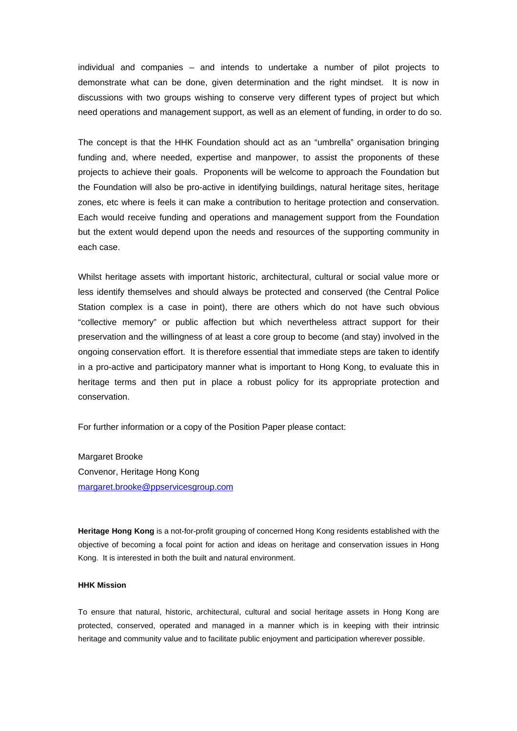individual and companies – and intends to undertake a number of pilot projects to demonstrate what can be done, given determination and the right mindset. It is now in discussions with two groups wishing to conserve very different types of project but which need operations and management support, as well as an element of funding, in order to do so.

The concept is that the HHK Foundation should act as an "umbrella" organisation bringing funding and, where needed, expertise and manpower, to assist the proponents of these projects to achieve their goals. Proponents will be welcome to approach the Foundation but the Foundation will also be pro-active in identifying buildings, natural heritage sites, heritage zones, etc where is feels it can make a contribution to heritage protection and conservation. Each would receive funding and operations and management support from the Foundation but the extent would depend upon the needs and resources of the supporting community in each case.

Whilst heritage assets with important historic, architectural, cultural or social value more or less identify themselves and should always be protected and conserved (the Central Police Station complex is a case in point), there are others which do not have such obvious "collective memory" or public affection but which nevertheless attract support for their preservation and the willingness of at least a core group to become (and stay) involved in the ongoing conservation effort. It is therefore essential that immediate steps are taken to identify in a pro-active and participatory manner what is important to Hong Kong, to evaluate this in heritage terms and then put in place a robust policy for its appropriate protection and conservation.

For further information or a copy of the Position Paper please contact:

Margaret Brooke Convenor, Heritage Hong Kong margaret.brooke@ppservicesgroup.com

**Heritage Hong Kong** is a not-for-profit grouping of concerned Hong Kong residents established with the objective of becoming a focal point for action and ideas on heritage and conservation issues in Hong Kong. It is interested in both the built and natural environment.

## **HHK Mission**

To ensure that natural, historic, architectural, cultural and social heritage assets in Hong Kong are protected, conserved, operated and managed in a manner which is in keeping with their intrinsic heritage and community value and to facilitate public enjoyment and participation wherever possible.